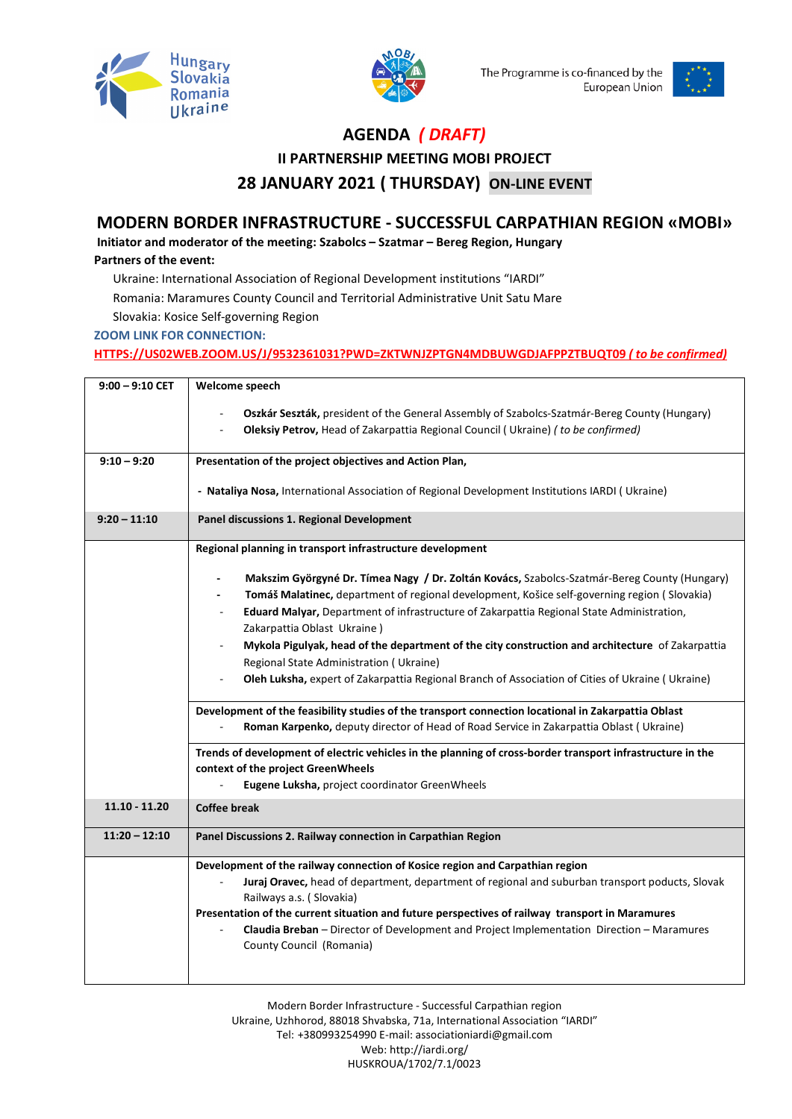



The Programme is co-financed by the European Union



## **AGENDA** *( DRAFT)*

**ІІ PARTNERSHIP MEETING MOBI PROJECT**

**28 JANUARY 2021 ( THURSDAY) ON-LINE EVENT**

## **MODERN BORDER INFRASTRUCTURE - SUCCESSFUL CARPATHIAN REGION «MOBI»**

**Initiator and moderator of the meeting: Szabolcs – Szatmar – Bereg Region, Hungary**

## **Partners of the event:**

Ukraine: International Association of Regional Development institutions "IARDI"

Romania: Maramures County Council and Territorial Administrative Unit Satu Mare

Slovakia: Kosice Self-governing Region

**ZOOM LINK FOR CONNECTION:** 

**[HTTPS://US02WEB.ZOOM.US/J/9532361031?PWD=ZKTWNJZPTGN4MDBUWGDJAFPPZTBUQT09](https://us02web.zoom.us/J/9532361031?PWD=ZKTWNJZPTGN4MDBUWGDJAFPPZTBUQT09)** *( to be confirmed)*

| $9:00 - 9:10$ CET | Welcome speech                                                                                                                                                                   |
|-------------------|----------------------------------------------------------------------------------------------------------------------------------------------------------------------------------|
|                   | Oszkár Seszták, president of the General Assembly of Szabolcs-Szatmár-Bereg County (Hungary)<br>Oleksiy Petrov, Head of Zakarpattia Regional Council (Ukraine) (to be confirmed) |
| $9:10 - 9:20$     | Presentation of the project objectives and Action Plan,                                                                                                                          |
|                   |                                                                                                                                                                                  |
|                   | - Nataliya Nosa, International Association of Regional Development Institutions IARDI (Ukraine)                                                                                  |
| $9:20 - 11:10$    | Panel discussions 1. Regional Development                                                                                                                                        |
|                   | Regional planning in transport infrastructure development                                                                                                                        |
|                   | Makszim Györgyné Dr. Tímea Nagy / Dr. Zoltán Kovács, Szabolcs-Szatmár-Bereg County (Hungary)                                                                                     |
|                   | Tomáš Malatinec, department of regional development, Košice self-governing region (Slovakia)                                                                                     |
|                   | Eduard Malyar, Department of infrastructure of Zakarpattia Regional State Administration,                                                                                        |
|                   | Zakarpattia Oblast Ukraine)                                                                                                                                                      |
|                   | Mykola Pigulyak, head of the department of the city construction and architecture of Zakarpattia                                                                                 |
|                   | Regional State Administration (Ukraine)                                                                                                                                          |
|                   | Oleh Luksha, expert of Zakarpattia Regional Branch of Association of Cities of Ukraine (Ukraine)                                                                                 |
|                   | Development of the feasibility studies of the transport connection locational in Zakarpattia Oblast                                                                              |
|                   | Roman Karpenko, deputy director of Head of Road Service in Zakarpattia Oblast (Ukraine)                                                                                          |
|                   | Trends of development of electric vehicles in the planning of cross-border transport infrastructure in the                                                                       |
|                   | context of the project GreenWheels                                                                                                                                               |
|                   | Eugene Luksha, project coordinator GreenWheels                                                                                                                                   |
| $11.10 - 11.20$   | <b>Coffee break</b>                                                                                                                                                              |
| $11:20 - 12:10$   | Panel Discussions 2. Railway connection in Carpathian Region                                                                                                                     |
|                   | Development of the railway connection of Kosice region and Carpathian region                                                                                                     |
|                   | Juraj Oravec, head of department, department of regional and suburban transport poducts, Slovak<br>Railways a.s. (Slovakia)                                                      |
|                   | Presentation of the current situation and future perspectives of railway transport in Maramures                                                                                  |
|                   | Claudia Breban - Director of Development and Project Implementation Direction - Maramures                                                                                        |
|                   | County Council (Romania)                                                                                                                                                         |
|                   |                                                                                                                                                                                  |

Modern Border Infrastructure - Successful Carpathian region Ukraine, Uzhhorod, 88018 Shvabska, 71a, International Association "IARDI" Tel: +380993254990 E-mail: associationiardi@gmail.com Web[: http://iardi.org/](http://iardi.org/) HUSKROUA/1702/7.1/0023